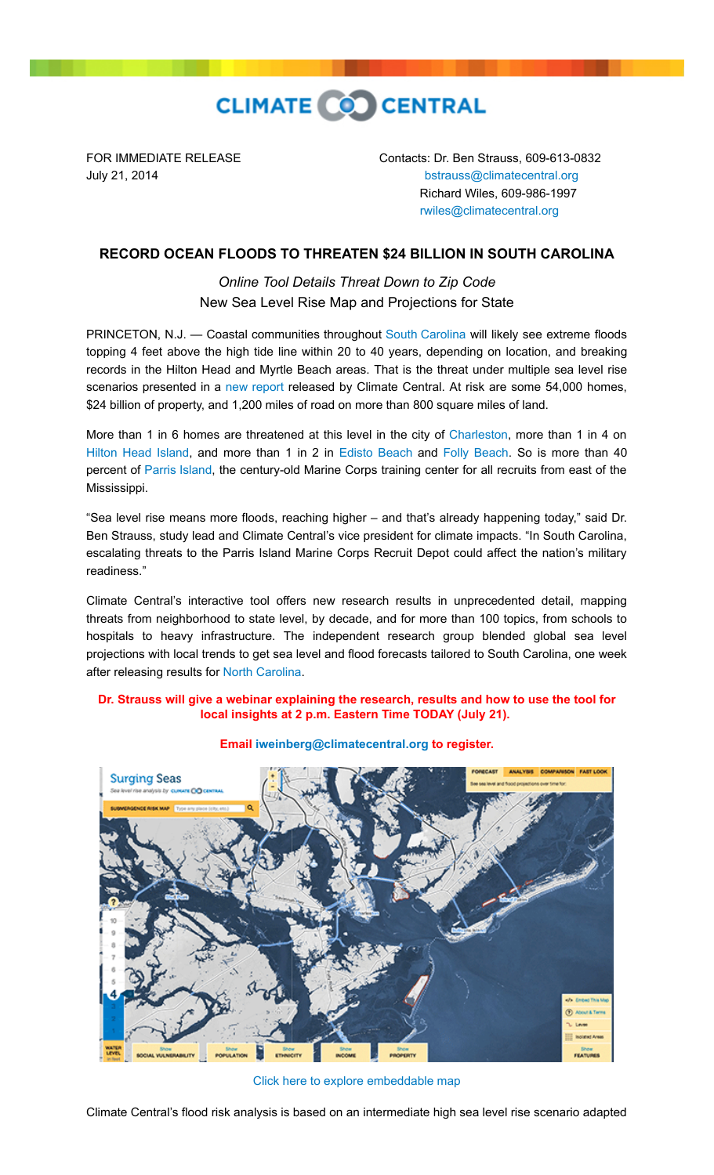

FOR IMMEDIATE RELEASE Contacts: Dr. Ben Strauss, 609-613-0832 July 21, 2014 [bstrauss@climatecentral.org](mailto:bstrauss@climatecentral.org) Richard Wiles, 609-986-1997 [rwiles@climatecentral.org](mailto:rwiles@climatecentral.org)

## **RECORD OCEAN FLOODS TO THREATEN \$24 BILLION IN SOUTH CAROLINA**

*Online Tool Details Threat Down to Zip Code* New Sea Level Rise Map and Projections for State

PRINCETON, N.J. - Coastal communities throughout [South Carolina](http://sealevel.climatecentral.org/ssrf/south-carolina) will likely see extreme floods topping 4 feet above the high tide line within 20 to 40 years, depending on location, and breaking records in the Hilton Head and Myrtle Beach areas. That is the threat under multiple sea level rise scenarios presented in a [new report](http://sealevel.climatecentral.org/uploads/ssrf/SC-Report.pdf) released by Climate Central. At risk are some 54,000 homes, \$24 billion of property, and 1,200 miles of road on more than 800 square miles of land.

More than 1 in 6 homes are threatened at this level in the city of [Charleston,](http://ssrf.climatecentral.org.s3-website-us-east-1.amazonaws.com/Buffer2/states/SC/downloads/pdf_reports/Town/SC_Charleston-report.pdf) more than 1 in 4 on [Hilton Head Island,](http://ssrf.climatecentral.org.s3-website-us-east-1.amazonaws.com/Buffer2/states/SC/downloads/pdf_reports/Town/SC_Hilton_Head_Island-report.pdf) and more than 1 in 2 in [Edisto Beach](http://ssrf.climatecentral.org.s3-website-us-east-1.amazonaws.com/Buffer2/states/SC/downloads/pdf_reports/Town/SC_Edisto_Beach-report.pdf) and [Folly Beach.](http://ssrf.climatecentral.org.s3-website-us-east-1.amazonaws.com/Buffer2/states/SC/downloads/pdf_reports/Town/SC_Folly_Beach-report.pdf) So is more than 40 percent of [Parris Island,](http://ssrf.climatecentral.org.s3-website-us-east-1.amazonaws.com/Buffer2/states/SC/downloads/pdf_reports/Zip/SC_29905-report.pdf) the century-old Marine Corps training center for all recruits from east of the Mississippi.

"Sea level rise means more floods, reaching higher – and that's already happening today," said Dr. Ben Strauss, study lead and Climate Central's vice president for climate impacts. "In South Carolina, escalating threats to the Parris Island Marine Corps Recruit Depot could affect the nation's military readiness."

Climate Central's interactive tool offers new research results in unprecedented detail, mapping threats from neighborhood to state level, by decade, and for more than 100 topics, from schools to hospitals to heavy infrastructure. The independent research group blended global sea level projections with local trends to get sea level and flood forecasts tailored to South Carolina, one week after releasing results for [North Carolina.](http://sealevel.climatecentral.org/ssrf/north-carolina)

## **Dr. Strauss will give a webinar explaining the research, results and how to use the tool for local insights at 2 p.m. Eastern Time TODAY (July 21).**



**Email [iweinberg@climatecentral.org](mailto:iweinberg@climatecentral.org) to register.**

[Click here to explore embeddable map](http://ss2.climatecentral.org/#12/32.7753/-79.9398?show=satellite&level=4&pois=hide)

Climate Central's flood risk analysis is based on an intermediate high sea level rise scenario adapted